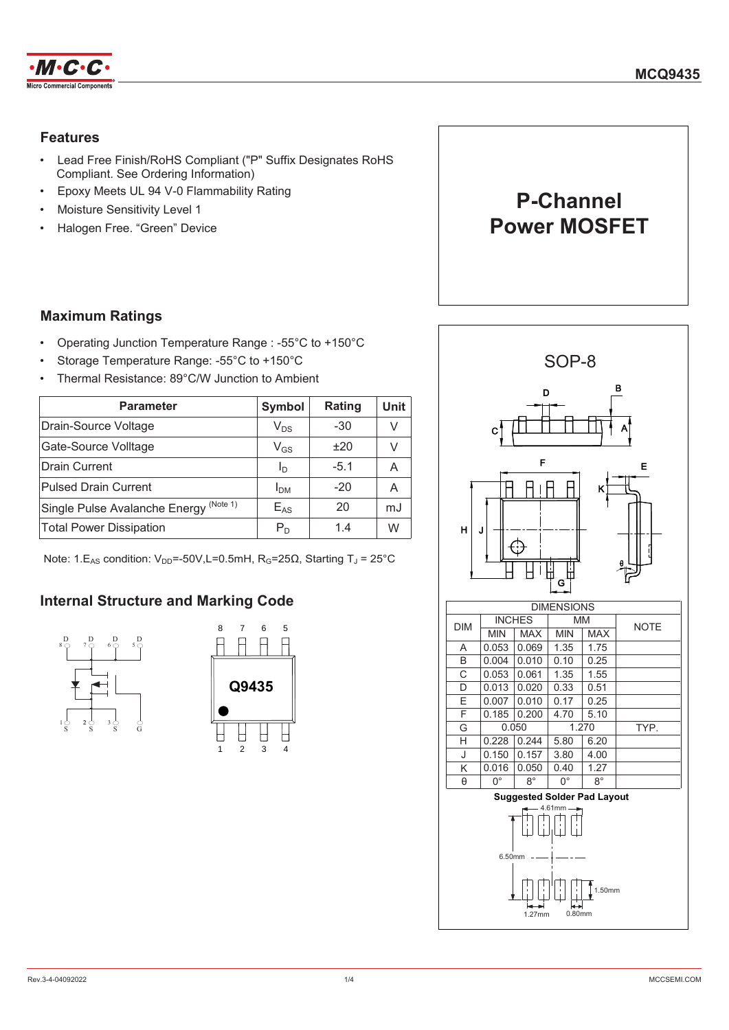

## **Features**

- Lead Free Finish/RoHS Compliant ("P" Suffix Designates RoHS  $\bullet$ Compliant. See Ordering Information)
- Epoxy Meets UL 94 V-0 Flammability Rating
- Moisture Sensitivity Level 1
- Halogen Free. "Green" Device



## **Maximum Ratings**

- Operating Junction Temperature Range: -55°C to +150°C  $\bullet$
- Storage Temperature Range: -55°C to +150°C
- Thermal Resistance: 89°C/W Junction to Ambient

| <b>Parameter</b>                          | Symbol                     | Rating | Unit |
|-------------------------------------------|----------------------------|--------|------|
| Drain-Source Voltage                      | $V_{DS}$                   | $-30$  |      |
| Gate-Source Volltage                      | $\mathsf{V}_{\mathsf{GS}}$ | ±20    | V    |
| <b>Drain Current</b>                      | Ιŋ                         | $-5.1$ | Α    |
| <b>Pulsed Drain Current</b>               | I <sub>DM</sub>            | $-20$  | A    |
| (Note 1)<br>Single Pulse Avalanche Energy | $E_{AS}$                   | 20     | mJ   |
| <b>Total Power Dissipation</b>            | $P_D$                      | 1.4    | W    |

Note: 1. $E_{AS}$  condition:  $V_{DD} = -50V$ , L=0.5mH,  $R_G = 25\Omega$ , Starting T<sub>J</sub> = 25°C

## **Internal Structure and Marking Code**





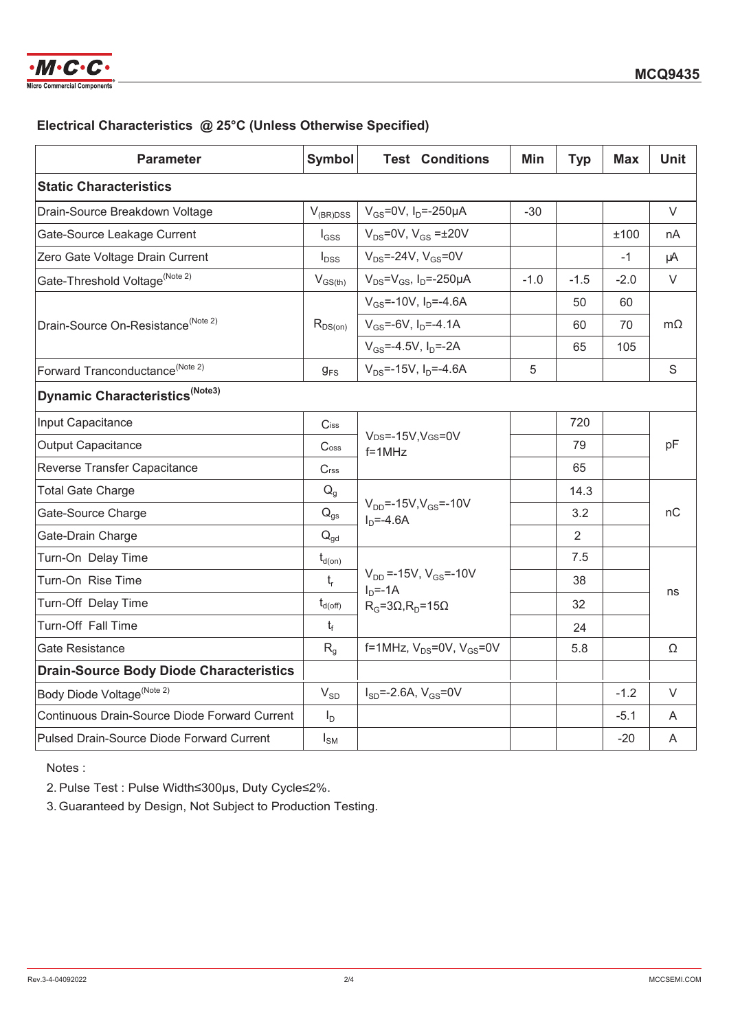

## Electrical Characteristics @ 25°C (Unless Otherwise Specified)

| <b>Parameter</b>                                 | <b>Symbol</b>               | <b>Test Conditions</b>                                                           | Min    | <b>Typ</b>     | <b>Max</b> | <b>Unit</b> |
|--------------------------------------------------|-----------------------------|----------------------------------------------------------------------------------|--------|----------------|------------|-------------|
| <b>Static Characteristics</b>                    |                             |                                                                                  |        |                |            |             |
| Drain-Source Breakdown Voltage                   | $V_{(BR)DSS}$               | $V_{GS} = 0V$ , $I_D = -250 \mu A$                                               | -30    |                |            | $\vee$      |
| Gate-Source Leakage Current                      | $I_{GSS}$                   | $V_{DS}$ =0V, $V_{GS}$ = $\pm$ 20V                                               |        |                | ±100       | nA          |
| Zero Gate Voltage Drain Current                  | $I_{DSS}$                   | $V_{DS}$ =-24V, $V_{GS}$ =0V                                                     |        |                | $-1$       | μA          |
| Gate-Threshold Voltage <sup>(Note 2)</sup>       | $V_{GS(th)}$                | $V_{DS} = V_{GS}$ , I <sub>D</sub> =-250µA                                       | $-1.0$ | $-1.5$         | $-2.0$     | $\vee$      |
| Drain-Source On-Resistance <sup>(Note 2)</sup>   | $R_{DS(on)}$                | $V_{GS}$ =-10V, $I_{D}$ =-4.6A                                                   |        | 50             | 60         | $m\Omega$   |
|                                                  |                             | $V_{GS}$ =-6V, $I_{D}$ =-4.1A                                                    |        | 60             | 70         |             |
|                                                  |                             | $V_{GS} = -4.5V$ , $I_D = -2A$                                                   |        | 65             | 105        |             |
| Forward Tranconductance <sup>(Note 2)</sup>      | $g_{FS}$                    | $V_{DS}$ =-15V, $I_{D}$ =-4.6A                                                   | 5      |                |            | S           |
| Dynamic Characteristics <sup>(Note3)</sup>       |                             |                                                                                  |        |                |            |             |
| Input Capacitance                                | $C$ iss                     |                                                                                  |        | 720            |            |             |
| <b>Output Capacitance</b>                        | $\mathsf{C}$ <sub>oss</sub> | V <sub>DS</sub> =-15V, V <sub>GS</sub> =0V<br>$f = 1$ MHz                        |        | 79             |            | pF          |
| Reverse Transfer Capacitance                     | C <sub>rss</sub>            |                                                                                  |        | 65             |            |             |
| <b>Total Gate Charge</b>                         | $Q_q$                       | $V_{DD} = -15V, V_{GS} = -10V$<br>$ID=-4.6A$                                     |        | 14.3           |            | nC          |
| Gate-Source Charge                               | $\mathsf{Q}_{\mathsf{gs}}$  |                                                                                  |        | 3.2            |            |             |
| Gate-Drain Charge                                | $Q_{qd}$                    |                                                                                  |        | $\overline{2}$ |            |             |
| Turn-On Delay Time                               | $t_{d(on)}$                 | $V_{DD} = -15V$ , $V_{GS} = -10V$<br>$ID=-1A$<br>$R_G = 3\Omega, R_D = 15\Omega$ |        | 7.5            |            |             |
| Turn-On Rise Time                                | $\mathsf{t}_{\mathsf{r}}$   |                                                                                  |        | 38             |            | ns          |
| Turn-Off Delay Time                              | $t_{d(\text{off})}$         |                                                                                  |        | 32             |            |             |
| Turn-Off Fall Time                               | $t_f$                       |                                                                                  |        | 24             |            |             |
| Gate Resistance                                  | $R_{q}$                     | f=1MHz, $V_{DS}$ =0V, $V_{GS}$ =0V                                               |        | 5.8            |            | Ω           |
| <b>Drain-Source Body Diode Characteristics</b>   |                             |                                                                                  |        |                |            |             |
| Body Diode Voltage <sup>(Note 2)</sup>           | $V_{SD}$                    | $I_{SD} = -2.6A$ , $V_{GS} = 0V$                                                 |        |                | $-1.2$     | $\vee$      |
| Continuous Drain-Source Diode Forward Current    | $I_D$                       |                                                                                  |        |                | $-5.1$     | A           |
| <b>Pulsed Drain-Source Diode Forward Current</b> | $I_{\text{SM}}$             |                                                                                  |        |                | $-20$      | A           |

Notes:

2. Pulse Test : Pulse Width≤300µs, Duty Cycle≤2%.

3. Guaranteed by Design, Not Subject to Production Testing.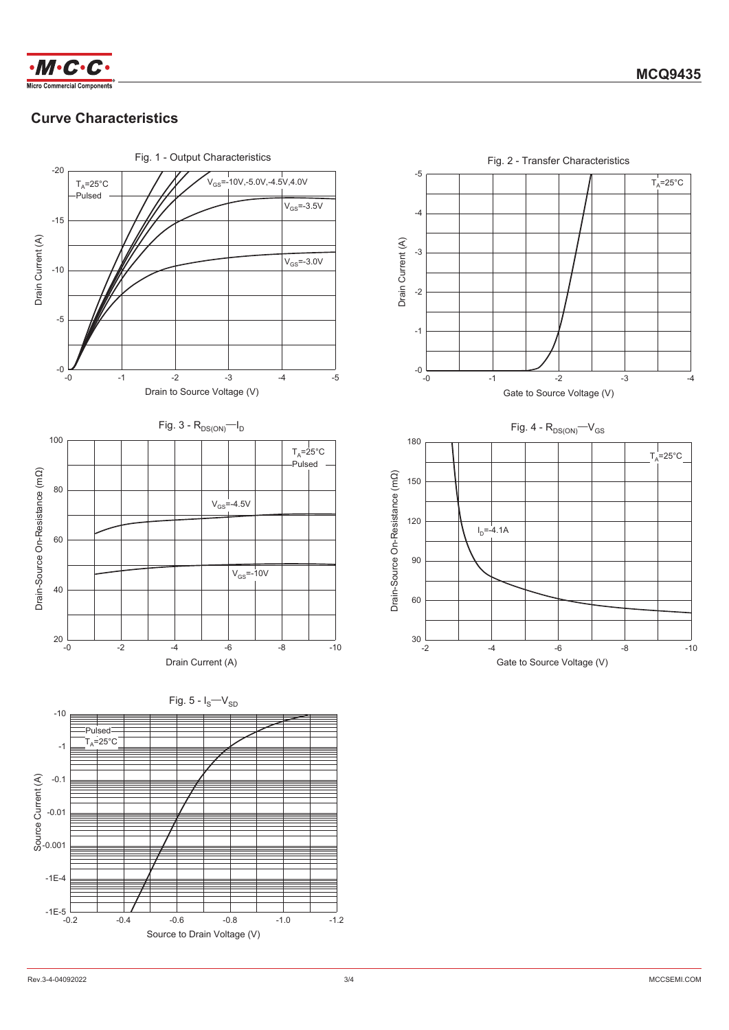

# **Curve Characteristics**



 $-4$ 

 $-10$